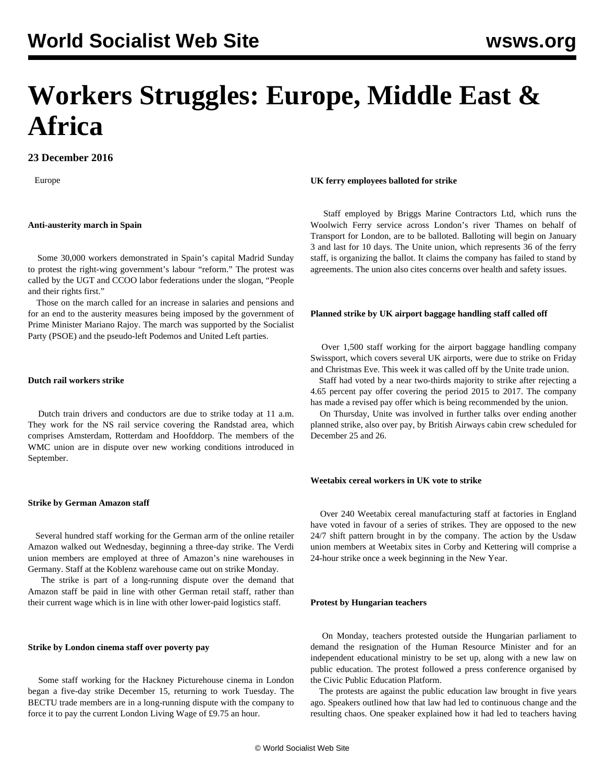# **Workers Struggles: Europe, Middle East & Africa**

# **23 December 2016**

Europe

# **Anti-austerity march in Spain**

 Some 30,000 workers demonstrated in Spain's capital Madrid Sunday to protest the right-wing government's labour "reform." The protest was called by the UGT and CCOO labor federations under the slogan, "People and their rights first."

 Those on the march called for an increase in salaries and pensions and for an end to the austerity measures being imposed by the government of Prime Minister Mariano Rajoy. The march was supported by the Socialist Party (PSOE) and the pseudo-left Podemos and United Left parties.

# **Dutch rail workers strike**

 Dutch train drivers and conductors are due to strike today at 11 a.m. They work for the NS rail service covering the Randstad area, which comprises Amsterdam, Rotterdam and Hoofddorp. The members of the WMC union are in dispute over new working conditions introduced in September.

# **Strike by German Amazon staff**

 Several hundred staff working for the German arm of the online retailer Amazon walked out Wednesday, beginning a three-day strike. The Verdi union members are employed at three of Amazon's nine warehouses in Germany. Staff at the Koblenz warehouse came out on strike Monday.

 The strike is part of a long-running dispute over the demand that Amazon staff be paid in line with other German retail staff, rather than their current wage which is in line with other lower-paid logistics staff.

# **Strike by London cinema staff over poverty pay**

 Some staff working for the Hackney Picturehouse cinema in London began a five-day strike December 15, returning to work Tuesday. The BECTU trade members are in a long-running dispute with the company to force it to pay the current London Living Wage of £9.75 an hour.

# **UK ferry employees balloted for strike**

 Staff employed by Briggs Marine Contractors Ltd, which runs the Woolwich Ferry service across London's river Thames on behalf of Transport for London, are to be balloted. Balloting will begin on January 3 and last for 10 days. The Unite union, which represents 36 of the ferry staff, is organizing the ballot. It claims the company has failed to stand by agreements. The union also cites concerns over health and safety issues.

# **Planned strike by UK airport baggage handling staff called off**

 Over 1,500 staff working for the airport baggage handling company Swissport, which covers several UK airports, were due to strike on Friday and Christmas Eve. This week it was called off by the Unite trade union.

 Staff had voted by a near two-thirds majority to strike after rejecting a 4.65 percent pay offer covering the period 2015 to 2017. The company has made a revised pay offer which is being recommended by the union.

 On Thursday, Unite was involved in further talks over ending another planned strike, also over pay, by British Airways cabin crew scheduled for December 25 and 26.

# **Weetabix cereal workers in UK vote to strike**

 Over 240 Weetabix cereal manufacturing staff at factories in England have voted in favour of a series of strikes. They are opposed to the new 24/7 shift pattern brought in by the company. The action by the Usdaw union members at Weetabix sites in Corby and Kettering will comprise a 24-hour strike once a week beginning in the New Year.

# **Protest by Hungarian teachers**

 On Monday, teachers protested outside the Hungarian parliament to demand the resignation of the Human Resource Minister and for an independent educational ministry to be set up, along with a new law on public education. The protest followed a press conference organised by the Civic Public Education Platform.

 The protests are against the public education law brought in five years ago. Speakers outlined how that law had led to continuous change and the resulting chaos. One speaker explained how it had led to teachers having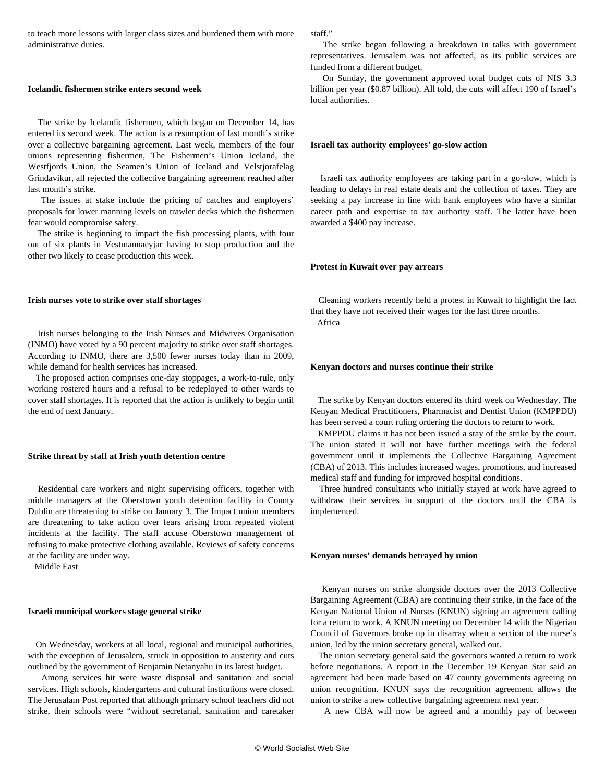to teach more lessons with larger class sizes and burdened them with more administrative duties.

#### **Icelandic fishermen strike enters second week**

 The strike by Icelandic fishermen, which began on December 14, has entered its second week. The action is a resumption of last month's strike over a collective bargaining agreement. Last week, members of the four unions representing fishermen, The Fishermen's Union Iceland, the Westfjords Union, the Seamen's Union of Iceland and Velstjorafelag Grindavikur, all rejected the collective bargaining agreement reached after last month's strike.

 The issues at stake include the pricing of catches and employers' proposals for lower manning levels on trawler decks which the fishermen fear would compromise safety.

 The strike is beginning to impact the fish processing plants, with four out of six plants in Vestmannaeyjar having to stop production and the other two likely to cease production this week.

#### **Irish nurses vote to strike over staff shortages**

 Irish nurses belonging to the Irish Nurses and Midwives Organisation (INMO) have voted by a 90 percent majority to strike over staff shortages. According to INMO, there are 3,500 fewer nurses today than in 2009, while demand for health services has increased.

 The proposed action comprises one-day stoppages, a work-to-rule, only working rostered hours and a refusal to be redeployed to other wards to cover staff shortages. It is reported that the action is unlikely to begin until the end of next January.

# **Strike threat by staff at Irish youth detention centre**

 Residential care workers and night supervising officers, together with middle managers at the Oberstown youth detention facility in County Dublin are threatening to strike on January 3. The Impact union members are threatening to take action over fears arising from repeated violent incidents at the facility. The staff accuse Oberstown management of refusing to make protective clothing available. Reviews of safety concerns at the facility are under way.

Middle East

#### **Israeli municipal workers stage general strike**

 On Wednesday, workers at all local, regional and municipal authorities, with the exception of Jerusalem, struck in opposition to austerity and cuts outlined by the government of Benjamin Netanyahu in its latest budget.

 Among services hit were waste disposal and sanitation and social services. High schools, kindergartens and cultural institutions were closed. The Jerusalam Post reported that although primary school teachers did not strike, their schools were "without secretarial, sanitation and caretaker staff."

 The strike began following a breakdown in talks with government representatives. Jerusalem was not affected, as its public services are funded from a different budget.

 On Sunday, the government approved total budget cuts of NIS 3.3 billion per year (\$0.87 billion). All told, the cuts will affect 190 of Israel's local authorities.

#### **Israeli tax authority employees' go-slow action**

 Israeli tax authority employees are taking part in a go-slow, which is leading to delays in real estate deals and the collection of taxes. They are seeking a pay increase in line with bank employees who have a similar career path and expertise to tax authority staff. The latter have been awarded a \$400 pay increase.

#### **Protest in Kuwait over pay arrears**

 Cleaning workers recently held a protest in Kuwait to highlight the fact that they have not received their wages for the last three months. Africa

#### **Kenyan doctors and nurses continue their strike**

 The strike by Kenyan doctors entered its third week on Wednesday. The Kenyan Medical Practitioners, Pharmacist and Dentist Union (KMPPDU) has been served a court ruling ordering the doctors to return to work.

 KMPPDU claims it has not been issued a stay of the strike by the court. The union stated it will not have further meetings with the federal government until it implements the Collective Bargaining Agreement (CBA) of 2013. This includes increased wages, promotions, and increased medical staff and funding for improved hospital conditions.

 Three hundred consultants who initially stayed at work have agreed to withdraw their services in support of the doctors until the CBA is implemented.

#### **Kenyan nurses' demands betrayed by union**

 Kenyan nurses on strike alongside doctors over the 2013 Collective Bargaining Agreement (CBA) are continuing their strike, in the face of the Kenyan National Union of Nurses (KNUN) signing an agreement calling for a return to work. A KNUN meeting on December 14 with the Nigerian Council of Governors broke up in disarray when a section of the nurse's union, led by the union secretary general, walked out.

 The union secretary general said the governors wanted a return to work before negotiations. A report in the December 19 Kenyan Star said an agreement had been made based on 47 county governments agreeing on union recognition. KNUN says the recognition agreement allows the union to strike a new collective bargaining agreement next year.

A new CBA will now be agreed and a monthly pay of between